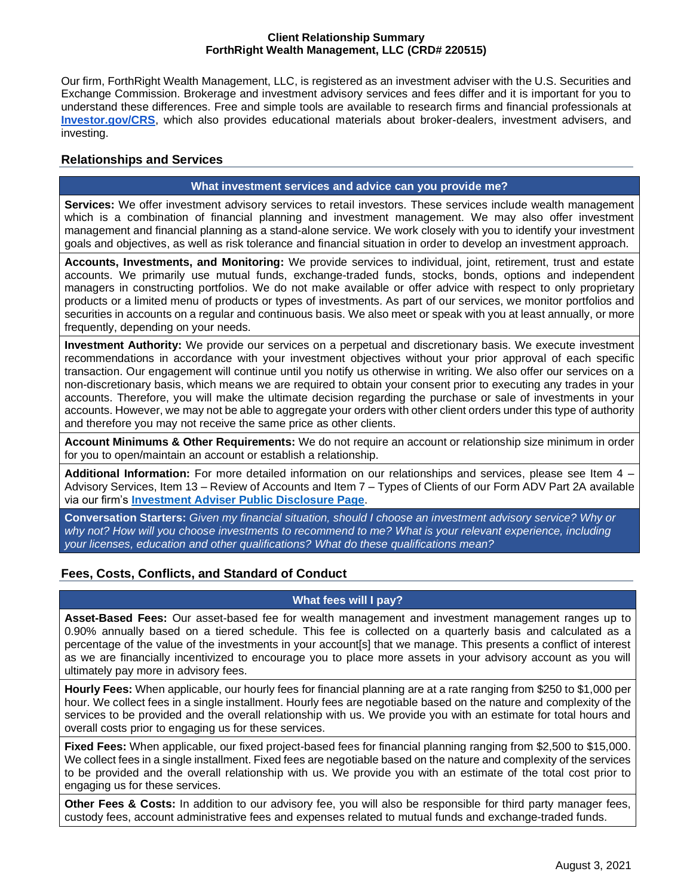#### **Client Relationship Summary ForthRight Wealth Management, LLC (CRD# 220515)**

Our firm, ForthRight Wealth Management, LLC, is registered as an investment adviser with the U.S. Securities and Exchange Commission. Brokerage and investment advisory services and fees differ and it is important for you to understand these differences. Free and simple tools are available to research firms and financial professionals at **[Investor.gov/CRS](http://investor.gov/CRS)**, which also provides educational materials about broker-dealers, investment advisers, and investing.

## **Relationships and Services**

#### **What investment services and advice can you provide me?**

**Services:** We offer investment advisory services to retail investors. These services include wealth management which is a combination of financial planning and investment management. We may also offer investment management and financial planning as a stand-alone service. We work closely with you to identify your investment goals and objectives, as well as risk tolerance and financial situation in order to develop an investment approach.

**Accounts, Investments, and Monitoring:** We provide services to individual, joint, retirement, trust and estate accounts. We primarily use mutual funds, exchange-traded funds, stocks, bonds, options and independent managers in constructing portfolios. We do not make available or offer advice with respect to only proprietary products or a limited menu of products or types of investments. As part of our services, we monitor portfolios and securities in accounts on a regular and continuous basis. We also meet or speak with you at least annually, or more frequently, depending on your needs.

**Investment Authority:** We provide our services on a perpetual and discretionary basis. We execute investment recommendations in accordance with your investment objectives without your prior approval of each specific transaction. Our engagement will continue until you notify us otherwise in writing. We also offer our services on a non-discretionary basis, which means we are required to obtain your consent prior to executing any trades in your accounts. Therefore, you will make the ultimate decision regarding the purchase or sale of investments in your accounts. However, we may not be able to aggregate your orders with other client orders under this type of authority and therefore you may not receive the same price as other clients.

**Account Minimums & Other Requirements:** We do not require an account or relationship size minimum in order for you to open/maintain an account or establish a relationship.

**Additional Information:** For more detailed information on our relationships and services, please see Item 4 – Advisory Services, Item 13 – Review of Accounts and Item 7 – Types of Clients of our Form ADV Part 2A available via our firm's **[Investment Adviser Public Disclosure Page](https://adviserinfo.sec.gov/firm/summary/220515)**.

**Conversation Starters:** *Given my financial situation, should I choose an investment advisory service? Why or why not? How will you choose investments to recommend to me? What is your relevant experience, including your licenses, education and other qualifications? What do these qualifications mean?*

## **Fees, Costs, Conflicts, and Standard of Conduct**

## **What fees will I pay?**

**Asset-Based Fees:** Our asset-based fee for wealth management and investment management ranges up to 0.90% annually based on a tiered schedule. This fee is collected on a quarterly basis and calculated as a percentage of the value of the investments in your account[s] that we manage. This presents a conflict of interest as we are financially incentivized to encourage you to place more assets in your advisory account as you will ultimately pay more in advisory fees.

**Hourly Fees:** When applicable, our hourly fees for financial planning are at a rate ranging from \$250 to \$1,000 per hour. We collect fees in a single installment. Hourly fees are negotiable based on the nature and complexity of the services to be provided and the overall relationship with us. We provide you with an estimate for total hours and overall costs prior to engaging us for these services.

**Fixed Fees:** When applicable, our fixed project-based fees for financial planning ranging from \$2,500 to \$15,000. We collect fees in a single installment. Fixed fees are negotiable based on the nature and complexity of the services to be provided and the overall relationship with us. We provide you with an estimate of the total cost prior to engaging us for these services.

**Other Fees & Costs:** In addition to our advisory fee, you will also be responsible for third party manager fees, custody fees, account administrative fees and expenses related to mutual funds and exchange-traded funds.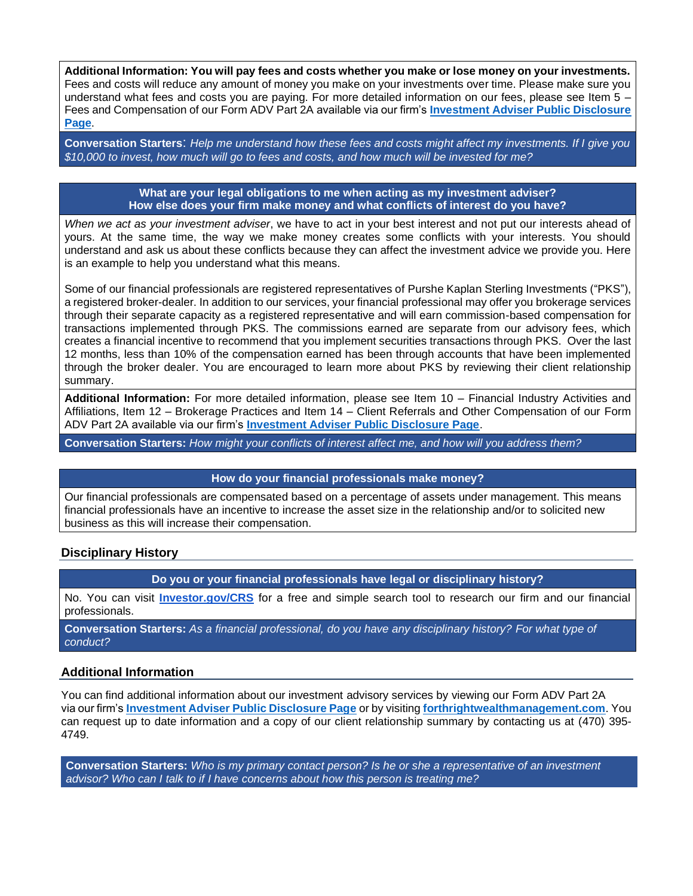**Additional Information: You will pay fees and costs whether you make or lose money on your investments.**  Fees and costs will reduce any amount of money you make on your investments over time. Please make sure you understand what fees and costs you are paying. For more detailed information on our fees, please see Item 5 – Fees and Compensation of our Form ADV Part 2A available via our firm's **[Investment Adviser Public Disclosure](https://adviserinfo.sec.gov/firm/summary/220515)  [Page](https://adviserinfo.sec.gov/firm/summary/220515)**.

**Conversation Starters**: *Help me understand how these fees and costs might affect my investments. If I give you \$10,000 to invest, how much will go to fees and costs, and how much will be invested for me?*

> **What are your legal obligations to me when acting as my investment adviser? How else does your firm make money and what conflicts of interest do you have?**

*When we act as your investment adviser*, we have to act in your best interest and not put our interests ahead of yours. At the same time, the way we make money creates some conflicts with your interests. You should understand and ask us about these conflicts because they can affect the investment advice we provide you. Here is an example to help you understand what this means.

Some of our financial professionals are registered representatives of Purshe Kaplan Sterling Investments ("PKS"), a registered broker-dealer. In addition to our services, your financial professional may offer you brokerage services through their separate capacity as a registered representative and will earn commission-based compensation for transactions implemented through PKS. The commissions earned are separate from our advisory fees, which creates a financial incentive to recommend that you implement securities transactions through PKS. Over the last 12 months, less than 10% of the compensation earned has been through accounts that have been implemented through the broker dealer. You are encouraged to learn more about PKS by reviewing their client relationship summary.

**Additional Information:** For more detailed information, please see Item 10 – Financial Industry Activities and Affiliations, Item 12 – Brokerage Practices and Item 14 – Client Referrals and Other Compensation of our Form ADV Part 2A available via our firm's **[Investment Adviser Public Disclosure Page](https://adviserinfo.sec.gov/firm/summary/220515)**.

**Conversation Starters:** *How might your conflicts of interest affect me, and how will you address them?*

## **How do your financial professionals make money?**

Our financial professionals are compensated based on a percentage of assets under management. This means financial professionals have an incentive to increase the asset size in the relationship and/or to solicited new business as this will increase their compensation.

## **Disciplinary History**

**Do you or your financial professionals have legal or disciplinary history?**

No. You can visit **[Investor.gov/CRS](http://investor.gov/CRS)** for a free and simple search tool to research our firm and our financial professionals.

**Conversation Starters:** *As a financial professional, do you have any disciplinary history? For what type of conduct?*

#### **Additional Information**

You can find additional information about our investment advisory services by viewing our Form ADV Part 2A via our firm's **[Investment Adviser Public Disclosure Page](https://adviserinfo.sec.gov/firm/summary/220515)** or by visiting **[forthrightwealthmanagement.com](https://www.forthrightwealthmanagement.com/)**. You can request up to date information and a copy of our client relationship summary by contacting us at (470) 395-4749.

**Conversation Starters:** *Who is my primary contact person? Is he or she a representative of an investment advisor? Who can I talk to if I have concerns about how this person is treating me?*